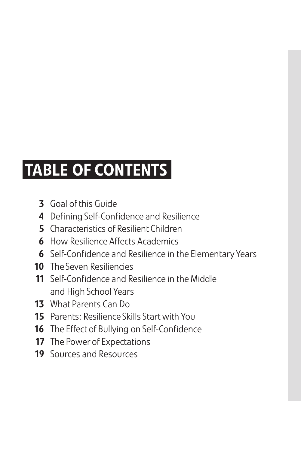## TABLE OF CONTENTS

- 3 Goal of this Guide
- 4 Defining Self-Confidence and Resilience
- 5 Characteristics of Resilient Children
- **6** How Resilience Affects Academics
- 6 Self-Confidence and Resilience in the Elementary Years
- 10 The Seven Resiliencies
- 11 Self-Confidence and Resilience in the Middle and High School Years
- 13 What Parents Can Do
- 15 Parents: Resilience Skills Start with You
- 16 The Effect of Bullying on Self-Confidence
- 17 The Power of Expectations
- **19** Sources and Resources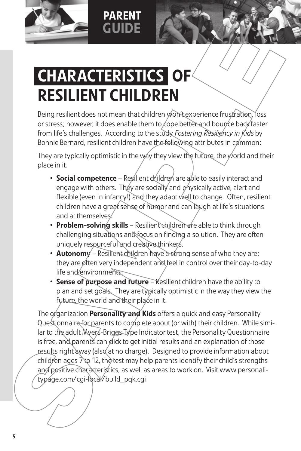

## PARENT GUIDE

## CHARACTERISTICS OF RESILIENT CHILDREN

Being resilient does not mean that children won't experience frustration, loss or stress; however, it does enable them to cope better and bounce back faster from life's challenges. According to the study *Fostering Resiliency in Kids* by Bonnie Bernard, resilient children have the following attributes in common:

They are typically optimistic in the way they view the future, the world and their place in it.

- Social competence Resilient children are able to easily interact and engage with others. They are socially and physically active, alert and flexible (even in infancy!) and they adapt well to change. Often, resilient children have a great sense of humor and can laugh at life's situations and at themselves.
- Problem-solving skills Resilient children are able to think through challenging situations and focus on finding a solution. They are often uniquely resourceful and creative thinkers.
- **Autonomy** Resilient children have a strong sense of who they are; they are often very independent and feel in control over their day-to-day life and environments.
- Sense of purpose and future Resilient children have the ability to plan and set goals. They are typically optimistic in the way they view the future, the world and their place in it.

The organization **Personality and Kids** offers a quick and easy Personality Questionnaire for parents to complete about (or with) their children. While similar to the adult Myers-Briggs Type Indicator test, the Personality Questionnaire is free, and parents can glick to get initial results and an explanation of those results right away (also at no charge). Designed to provide information about children ages  $\lambda$  to 12, the test may help parents identify their child's strengths and positive characteristics, as well as areas to work on. Visit www.personalitypage.com/cgi-local/build\_pqk.cgi